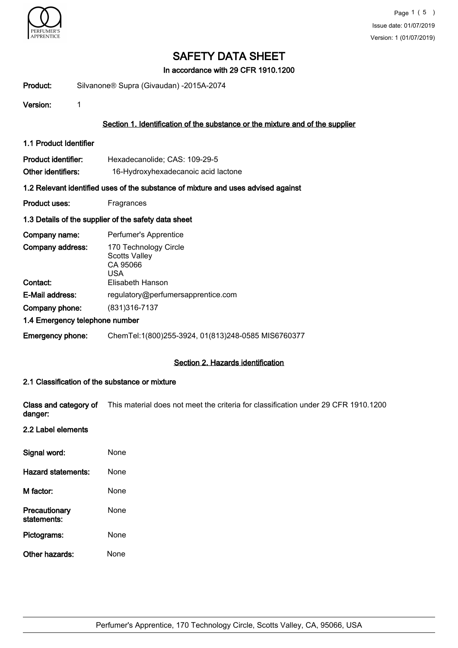

In accordance with 29 CFR 1910.1200

Product: Silvanone® Supra (Givaudan) -2015A-2074

Version: 1

# Section 1. Identification of the substance or the mixture and of the supplier

1.1 Product Identifier

| <b>Product identifier:</b> | Hexadecanolide; CAS: 109-29-5       |
|----------------------------|-------------------------------------|
| Other identifiers:         | 16-Hydroxyhexadecanoic acid lactone |

#### 1.2 Relevant identified uses of the substance of mixture and uses advised against

Product uses: Fragrances

#### 1.3 Details of the supplier of the safety data sheet

| Company name:                  | Perfumer's Apprentice                                            |
|--------------------------------|------------------------------------------------------------------|
| Company address:               | 170 Technology Circle<br><b>Scotts Valley</b><br>CA 95066<br>USA |
| Contact:                       | Elisabeth Hanson                                                 |
| E-Mail address:                | regulatory@perfumersapprentice.com                               |
| Company phone:                 | (831) 316 - 7137                                                 |
| 1.4 Emergency telephone number |                                                                  |
| <b>Emergency phone:</b>        | ChemTel:1(800)255-3924, 01(813)248-0585 MIS6760377               |

#### Section 2. Hazards identification

#### 2.1 Classification of the substance or mixture

Class and category of This material does not meet the criteria for classification under 29 CFR 1910.1200 danger:

# 2.2 Label elements

| Signal word:                 | None |
|------------------------------|------|
| Hazard statements:           | None |
| M factor:                    | None |
| Precautionary<br>statements: | None |
| Pictograms:                  | None |
| Other hazards:               | None |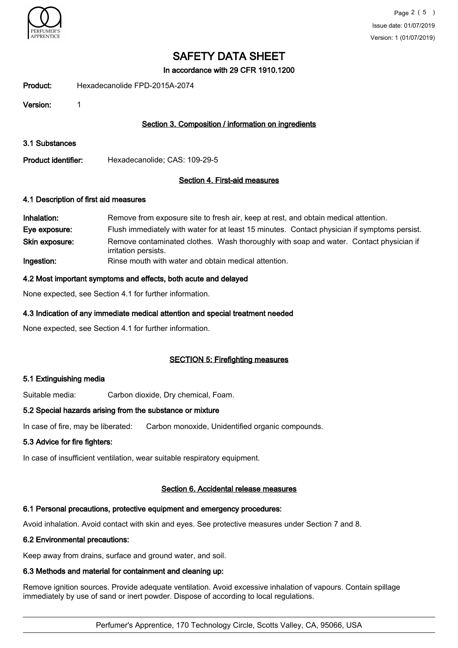

In accordance with 29 CFR 1910.1200

Product: Hexadecanolide FPD-2015A-2074

Version: 1

# Section 3. Composition / information on ingredients

3.1 Substances

Product identifier: Hexadecanolide; CAS: 109-29-5

#### Section 4. First-aid measures

#### 4.1 Description of first aid measures

| Inhalation:    | Remove from exposure site to fresh air, keep at rest, and obtain medical attention.                            |
|----------------|----------------------------------------------------------------------------------------------------------------|
| Eye exposure:  | Flush immediately with water for at least 15 minutes. Contact physician if symptoms persist.                   |
| Skin exposure: | Remove contaminated clothes. Wash thoroughly with soap and water. Contact physician if<br>irritation persists. |
| Ingestion:     | Rinse mouth with water and obtain medical attention.                                                           |

#### 4.2 Most important symptoms and effects, both acute and delayed

None expected, see Section 4.1 for further information.

# 4.3 Indication of any immediate medical attention and special treatment needed

None expected, see Section 4.1 for further information.

#### SECTION 5: Firefighting measures

#### 5.1 Extinguishing media

Suitable media: Carbon dioxide, Dry chemical, Foam.

#### 5.2 Special hazards arising from the substance or mixture

In case of fire, may be liberated: Carbon monoxide, Unidentified organic compounds.

#### 5.3 Advice for fire fighters:

In case of insufficient ventilation, wear suitable respiratory equipment.

# Section 6. Accidental release measures

# 6.1 Personal precautions, protective equipment and emergency procedures:

Avoid inhalation. Avoid contact with skin and eyes. See protective measures under Section 7 and 8.

# 6.2 Environmental precautions:

Keep away from drains, surface and ground water, and soil.

# 6.3 Methods and material for containment and cleaning up:

Remove ignition sources. Provide adequate ventilation. Avoid excessive inhalation of vapours. Contain spillage immediately by use of sand or inert powder. Dispose of according to local regulations.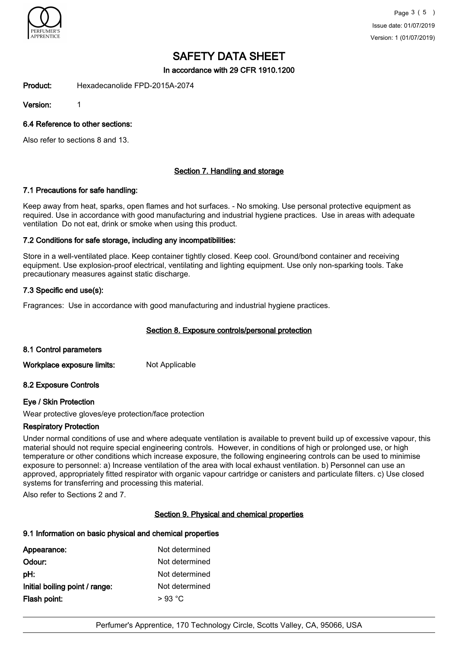

In accordance with 29 CFR 1910.1200

Product: Hexadecanolide FPD-2015A-2074

Version: 1

6.4 Reference to other sections:

Also refer to sections 8 and 13.

# Section 7. Handling and storage

# 7.1 Precautions for safe handling:

Keep away from heat, sparks, open flames and hot surfaces. - No smoking. Use personal protective equipment as required. Use in accordance with good manufacturing and industrial hygiene practices. Use in areas with adequate ventilation Do not eat, drink or smoke when using this product.

# 7.2 Conditions for safe storage, including any incompatibilities:

Store in a well-ventilated place. Keep container tightly closed. Keep cool. Ground/bond container and receiving equipment. Use explosion-proof electrical, ventilating and lighting equipment. Use only non-sparking tools. Take precautionary measures against static discharge.

# 7.3 Specific end use(s):

Fragrances: Use in accordance with good manufacturing and industrial hygiene practices.

# Section 8. Exposure controls/personal protection

#### 8.1 Control parameters

Workplace exposure limits: Not Applicable

# 8.2 Exposure Controls

# Eye / Skin Protection

Wear protective gloves/eye protection/face protection

#### Respiratory Protection

Under normal conditions of use and where adequate ventilation is available to prevent build up of excessive vapour, this material should not require special engineering controls. However, in conditions of high or prolonged use, or high temperature or other conditions which increase exposure, the following engineering controls can be used to minimise exposure to personnel: a) Increase ventilation of the area with local exhaust ventilation. b) Personnel can use an approved, appropriately fitted respirator with organic vapour cartridge or canisters and particulate filters. c) Use closed systems for transferring and processing this material.

Also refer to Sections 2 and 7.

#### Section 9. Physical and chemical properties

# 9.1 Information on basic physical and chemical properties

| Appearance:                    | Not determined |
|--------------------------------|----------------|
| Odour:                         | Not determined |
| pH:                            | Not determined |
| Initial boiling point / range: | Not determined |
| Flash point:                   | $>93$ °C       |
|                                |                |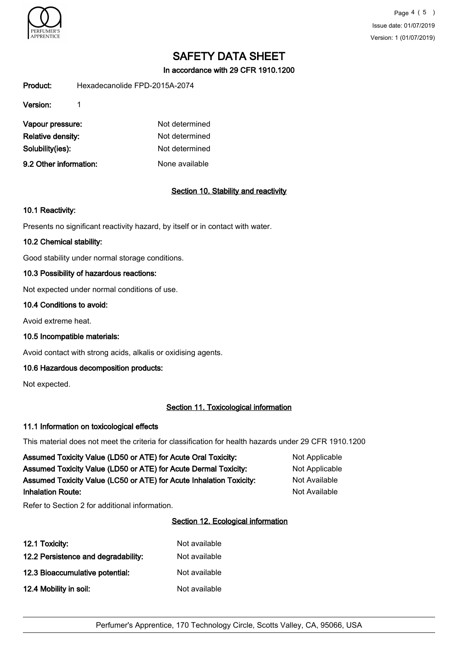

In accordance with 29 CFR 1910.1200

Product: Hexadecanolide FPD-2015A-2074

Version: 1

| Vapour pressure:       | Not determined |
|------------------------|----------------|
| Relative density:      | Not determined |
| Solubility(ies):       | Not determined |
| 9.2 Other information: | None available |

# Section 10. Stability and reactivity

# 10.1 Reactivity:

Presents no significant reactivity hazard, by itself or in contact with water.

# 10.2 Chemical stability:

Good stability under normal storage conditions.

# 10.3 Possibility of hazardous reactions:

Not expected under normal conditions of use.

#### 10.4 Conditions to avoid:

Avoid extreme heat.

10.5 Incompatible materials:

Avoid contact with strong acids, alkalis or oxidising agents.

# 10.6 Hazardous decomposition products:

Not expected.

# Section 11. Toxicological information

#### 11.1 Information on toxicological effects

This material does not meet the criteria for classification for health hazards under 29 CFR 1910.1200

| Assumed Toxicity Value (LD50 or ATE) for Acute Oral Toxicity:       | Not Applicable |
|---------------------------------------------------------------------|----------------|
| Assumed Toxicity Value (LD50 or ATE) for Acute Dermal Toxicity:     | Not Applicable |
| Assumed Toxicity Value (LC50 or ATE) for Acute Inhalation Toxicity: | Not Available  |
| <b>Inhalation Route:</b>                                            | Not Available  |

Refer to Section 2 for additional information.

# Section 12. Ecological information

| 12.1 Toxicity:                      | Not available |
|-------------------------------------|---------------|
| 12.2 Persistence and degradability: | Not available |
| 12.3 Bioaccumulative potential:     | Not available |
| 12.4 Mobility in soil:              | Not available |